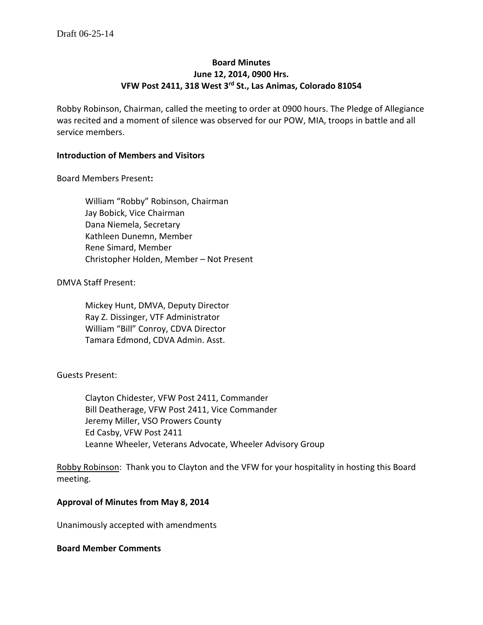# **Board Minutes June 12, 2014, 0900 Hrs. VFW Post 2411, 318 West 3rd St., Las Animas, Colorado 81054**

Robby Robinson, Chairman, called the meeting to order at 0900 hours. The Pledge of Allegiance was recited and a moment of silence was observed for our POW, MIA, troops in battle and all service members.

#### **Introduction of Members and Visitors**

Board Members Present**:**

William "Robby" Robinson, Chairman Jay Bobick, Vice Chairman Dana Niemela, Secretary Kathleen Dunemn, Member Rene Simard, Member Christopher Holden, Member – Not Present

#### DMVA Staff Present:

Mickey Hunt, DMVA, Deputy Director Ray Z. Dissinger, VTF Administrator William "Bill" Conroy, CDVA Director Tamara Edmond, CDVA Admin. Asst.

### Guests Present:

Clayton Chidester, VFW Post 2411, Commander Bill Deatherage, VFW Post 2411, Vice Commander Jeremy Miller, VSO Prowers County Ed Casby, VFW Post 2411 Leanne Wheeler, Veterans Advocate, Wheeler Advisory Group

Robby Robinson: Thank you to Clayton and the VFW for your hospitality in hosting this Board meeting.

#### **Approval of Minutes from May 8, 2014**

Unanimously accepted with amendments

#### **Board Member Comments**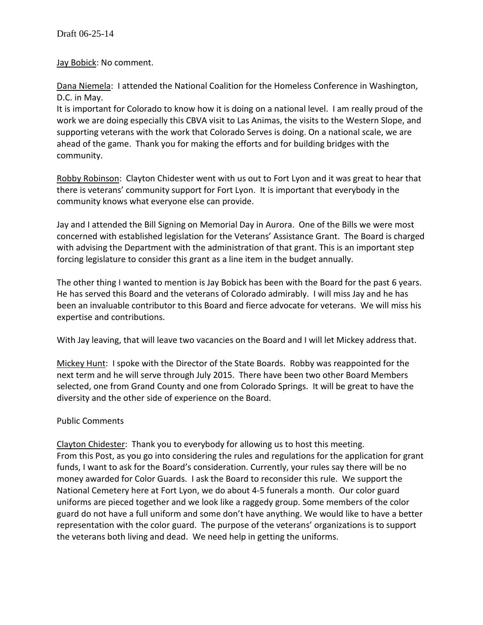Jay Bobick: No comment.

Dana Niemela: I attended the National Coalition for the Homeless Conference in Washington, D.C. in May.

It is important for Colorado to know how it is doing on a national level. I am really proud of the work we are doing especially this CBVA visit to Las Animas, the visits to the Western Slope, and supporting veterans with the work that Colorado Serves is doing. On a national scale, we are ahead of the game. Thank you for making the efforts and for building bridges with the community.

Robby Robinson: Clayton Chidester went with us out to Fort Lyon and it was great to hear that there is veterans' community support for Fort Lyon. It is important that everybody in the community knows what everyone else can provide.

Jay and I attended the Bill Signing on Memorial Day in Aurora. One of the Bills we were most concerned with established legislation for the Veterans' Assistance Grant. The Board is charged with advising the Department with the administration of that grant. This is an important step forcing legislature to consider this grant as a line item in the budget annually.

The other thing I wanted to mention is Jay Bobick has been with the Board for the past 6 years. He has served this Board and the veterans of Colorado admirably. I will miss Jay and he has been an invaluable contributor to this Board and fierce advocate for veterans. We will miss his expertise and contributions.

With Jay leaving, that will leave two vacancies on the Board and I will let Mickey address that.

Mickey Hunt: I spoke with the Director of the State Boards. Robby was reappointed for the next term and he will serve through July 2015. There have been two other Board Members selected, one from Grand County and one from Colorado Springs. It will be great to have the diversity and the other side of experience on the Board.

# Public Comments

Clayton Chidester: Thank you to everybody for allowing us to host this meeting. From this Post, as you go into considering the rules and regulations for the application for grant funds, I want to ask for the Board's consideration. Currently, your rules say there will be no money awarded for Color Guards. I ask the Board to reconsider this rule. We support the National Cemetery here at Fort Lyon, we do about 4-5 funerals a month. Our color guard uniforms are pieced together and we look like a raggedy group. Some members of the color guard do not have a full uniform and some don't have anything. We would like to have a better representation with the color guard. The purpose of the veterans' organizations is to support the veterans both living and dead. We need help in getting the uniforms.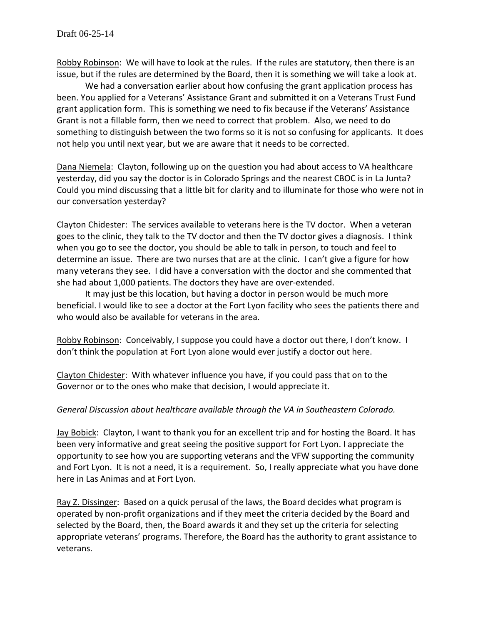Robby Robinson: We will have to look at the rules. If the rules are statutory, then there is an issue, but if the rules are determined by the Board, then it is something we will take a look at.

We had a conversation earlier about how confusing the grant application process has been. You applied for a Veterans' Assistance Grant and submitted it on a Veterans Trust Fund grant application form. This is something we need to fix because if the Veterans' Assistance Grant is not a fillable form, then we need to correct that problem. Also, we need to do something to distinguish between the two forms so it is not so confusing for applicants. It does not help you until next year, but we are aware that it needs to be corrected.

Dana Niemela: Clayton, following up on the question you had about access to VA healthcare yesterday, did you say the doctor is in Colorado Springs and the nearest CBOC is in La Junta? Could you mind discussing that a little bit for clarity and to illuminate for those who were not in our conversation yesterday?

Clayton Chidester: The services available to veterans here is the TV doctor. When a veteran goes to the clinic, they talk to the TV doctor and then the TV doctor gives a diagnosis. I think when you go to see the doctor, you should be able to talk in person, to touch and feel to determine an issue. There are two nurses that are at the clinic. I can't give a figure for how many veterans they see. I did have a conversation with the doctor and she commented that she had about 1,000 patients. The doctors they have are over-extended.

It may just be this location, but having a doctor in person would be much more beneficial. I would like to see a doctor at the Fort Lyon facility who sees the patients there and who would also be available for veterans in the area.

Robby Robinson: Conceivably, I suppose you could have a doctor out there, I don't know. I don't think the population at Fort Lyon alone would ever justify a doctor out here.

Clayton Chidester: With whatever influence you have, if you could pass that on to the Governor or to the ones who make that decision, I would appreciate it.

# *General Discussion about healthcare available through the VA in Southeastern Colorado.*

Jay Bobick: Clayton, I want to thank you for an excellent trip and for hosting the Board. It has been very informative and great seeing the positive support for Fort Lyon. I appreciate the opportunity to see how you are supporting veterans and the VFW supporting the community and Fort Lyon. It is not a need, it is a requirement. So, I really appreciate what you have done here in Las Animas and at Fort Lyon.

Ray Z. Dissinger: Based on a quick perusal of the laws, the Board decides what program is operated by non-profit organizations and if they meet the criteria decided by the Board and selected by the Board, then, the Board awards it and they set up the criteria for selecting appropriate veterans' programs. Therefore, the Board has the authority to grant assistance to veterans.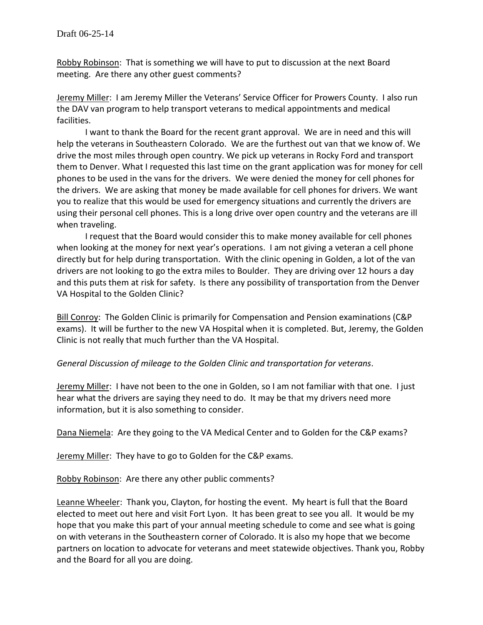Robby Robinson: That is something we will have to put to discussion at the next Board meeting. Are there any other guest comments?

Jeremy Miller: I am Jeremy Miller the Veterans' Service Officer for Prowers County. I also run the DAV van program to help transport veterans to medical appointments and medical facilities.

I want to thank the Board for the recent grant approval. We are in need and this will help the veterans in Southeastern Colorado. We are the furthest out van that we know of. We drive the most miles through open country. We pick up veterans in Rocky Ford and transport them to Denver. What I requested this last time on the grant application was for money for cell phones to be used in the vans for the drivers. We were denied the money for cell phones for the drivers. We are asking that money be made available for cell phones for drivers. We want you to realize that this would be used for emergency situations and currently the drivers are using their personal cell phones. This is a long drive over open country and the veterans are ill when traveling.

I request that the Board would consider this to make money available for cell phones when looking at the money for next year's operations. I am not giving a veteran a cell phone directly but for help during transportation. With the clinic opening in Golden, a lot of the van drivers are not looking to go the extra miles to Boulder. They are driving over 12 hours a day and this puts them at risk for safety. Is there any possibility of transportation from the Denver VA Hospital to the Golden Clinic?

Bill Conroy: The Golden Clinic is primarily for Compensation and Pension examinations (C&P exams). It will be further to the new VA Hospital when it is completed. But, Jeremy, the Golden Clinic is not really that much further than the VA Hospital.

### *General Discussion of mileage to the Golden Clinic and transportation for veterans*.

Jeremy Miller: I have not been to the one in Golden, so I am not familiar with that one. I just hear what the drivers are saying they need to do. It may be that my drivers need more information, but it is also something to consider.

Dana Niemela: Are they going to the VA Medical Center and to Golden for the C&P exams?

Jeremy Miller: They have to go to Golden for the C&P exams.

Robby Robinson: Are there any other public comments?

Leanne Wheeler: Thank you, Clayton, for hosting the event. My heart is full that the Board elected to meet out here and visit Fort Lyon. It has been great to see you all. It would be my hope that you make this part of your annual meeting schedule to come and see what is going on with veterans in the Southeastern corner of Colorado. It is also my hope that we become partners on location to advocate for veterans and meet statewide objectives. Thank you, Robby and the Board for all you are doing.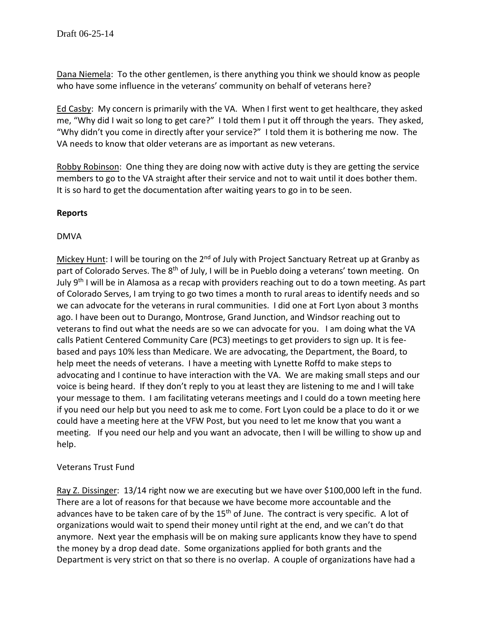Dana Niemela: To the other gentlemen, is there anything you think we should know as people who have some influence in the veterans' community on behalf of veterans here?

Ed Casby: My concern is primarily with the VA. When I first went to get healthcare, they asked me, "Why did I wait so long to get care?" I told them I put it off through the years. They asked, "Why didn't you come in directly after your service?" I told them it is bothering me now. The VA needs to know that older veterans are as important as new veterans.

Robby Robinson: One thing they are doing now with active duty is they are getting the service members to go to the VA straight after their service and not to wait until it does bother them. It is so hard to get the documentation after waiting years to go in to be seen.

## **Reports**

## DMVA

Mickey Hunt: I will be touring on the  $2^{nd}$  of July with Project Sanctuary Retreat up at Granby as part of Colorado Serves. The 8<sup>th</sup> of July, I will be in Pueblo doing a veterans' town meeting. On July 9<sup>th</sup> I will be in Alamosa as a recap with providers reaching out to do a town meeting. As part of Colorado Serves, I am trying to go two times a month to rural areas to identify needs and so we can advocate for the veterans in rural communities. I did one at Fort Lyon about 3 months ago. I have been out to Durango, Montrose, Grand Junction, and Windsor reaching out to veterans to find out what the needs are so we can advocate for you. I am doing what the VA calls Patient Centered Community Care (PC3) meetings to get providers to sign up. It is feebased and pays 10% less than Medicare. We are advocating, the Department, the Board, to help meet the needs of veterans. I have a meeting with Lynette Roffd to make steps to advocating and I continue to have interaction with the VA. We are making small steps and our voice is being heard. If they don't reply to you at least they are listening to me and I will take your message to them. I am facilitating veterans meetings and I could do a town meeting here if you need our help but you need to ask me to come. Fort Lyon could be a place to do it or we could have a meeting here at the VFW Post, but you need to let me know that you want a meeting. If you need our help and you want an advocate, then I will be willing to show up and help.

### Veterans Trust Fund

Ray Z. Dissinger: 13/14 right now we are executing but we have over \$100,000 left in the fund. There are a lot of reasons for that because we have become more accountable and the advances have to be taken care of by the  $15<sup>th</sup>$  of June. The contract is very specific. A lot of organizations would wait to spend their money until right at the end, and we can't do that anymore. Next year the emphasis will be on making sure applicants know they have to spend the money by a drop dead date. Some organizations applied for both grants and the Department is very strict on that so there is no overlap. A couple of organizations have had a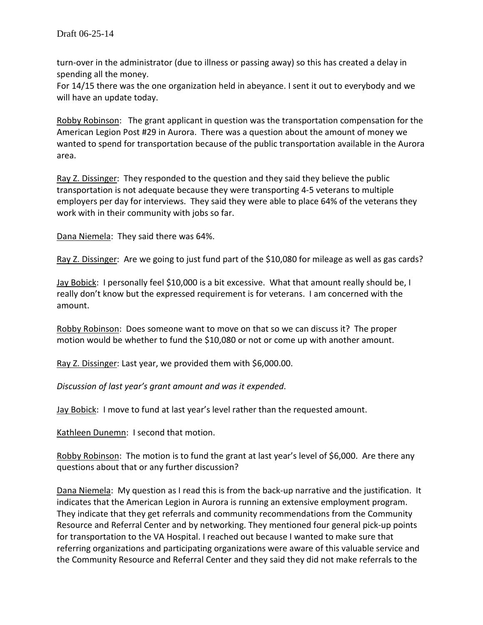turn-over in the administrator (due to illness or passing away) so this has created a delay in spending all the money.

For 14/15 there was the one organization held in abeyance. I sent it out to everybody and we will have an update today.

Robby Robinson: The grant applicant in question was the transportation compensation for the American Legion Post #29 in Aurora. There was a question about the amount of money we wanted to spend for transportation because of the public transportation available in the Aurora area.

Ray Z. Dissinger: They responded to the question and they said they believe the public transportation is not adequate because they were transporting 4-5 veterans to multiple employers per day for interviews. They said they were able to place 64% of the veterans they work with in their community with jobs so far.

Dana Niemela: They said there was 64%.

Ray Z. Dissinger: Are we going to just fund part of the \$10,080 for mileage as well as gas cards?

Jay Bobick: I personally feel \$10,000 is a bit excessive. What that amount really should be, I really don't know but the expressed requirement is for veterans. I am concerned with the amount.

Robby Robinson: Does someone want to move on that so we can discuss it? The proper motion would be whether to fund the \$10,080 or not or come up with another amount.

Ray Z. Dissinger: Last year, we provided them with \$6,000.00.

*Discussion of last year's grant amount and was it expended*.

Jay Bobick: I move to fund at last year's level rather than the requested amount.

Kathleen Dunemn: I second that motion.

Robby Robinson: The motion is to fund the grant at last year's level of \$6,000. Are there any questions about that or any further discussion?

Dana Niemela: My question as I read this is from the back-up narrative and the justification. It indicates that the American Legion in Aurora is running an extensive employment program. They indicate that they get referrals and community recommendations from the Community Resource and Referral Center and by networking. They mentioned four general pick-up points for transportation to the VA Hospital. I reached out because I wanted to make sure that referring organizations and participating organizations were aware of this valuable service and the Community Resource and Referral Center and they said they did not make referrals to the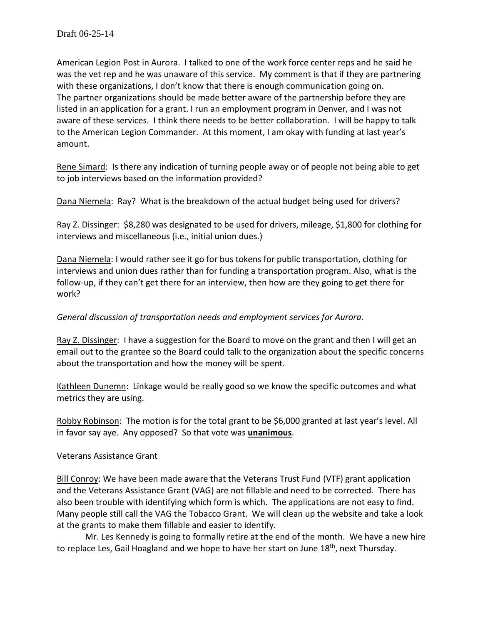American Legion Post in Aurora. I talked to one of the work force center reps and he said he was the vet rep and he was unaware of this service. My comment is that if they are partnering with these organizations, I don't know that there is enough communication going on. The partner organizations should be made better aware of the partnership before they are listed in an application for a grant. I run an employment program in Denver, and I was not aware of these services. I think there needs to be better collaboration. I will be happy to talk to the American Legion Commander. At this moment, I am okay with funding at last year's amount.

Rene Simard: Is there any indication of turning people away or of people not being able to get to job interviews based on the information provided?

Dana Niemela: Ray? What is the breakdown of the actual budget being used for drivers?

Ray Z. Dissinger: \$8,280 was designated to be used for drivers, mileage, \$1,800 for clothing for interviews and miscellaneous (i.e., initial union dues.)

Dana Niemela: I would rather see it go for bus tokens for public transportation, clothing for interviews and union dues rather than for funding a transportation program. Also, what is the follow-up, if they can't get there for an interview, then how are they going to get there for work?

# *General discussion of transportation needs and employment services for Aurora*.

Ray Z. Dissinger: I have a suggestion for the Board to move on the grant and then I will get an email out to the grantee so the Board could talk to the organization about the specific concerns about the transportation and how the money will be spent.

Kathleen Dunemn: Linkage would be really good so we know the specific outcomes and what metrics they are using.

Robby Robinson: The motion is for the total grant to be \$6,000 granted at last year's level. All in favor say aye. Any opposed? So that vote was **unanimous**.

Veterans Assistance Grant

Bill Conroy: We have been made aware that the Veterans Trust Fund (VTF) grant application and the Veterans Assistance Grant (VAG) are not fillable and need to be corrected. There has also been trouble with identifying which form is which. The applications are not easy to find. Many people still call the VAG the Tobacco Grant. We will clean up the website and take a look at the grants to make them fillable and easier to identify.

Mr. Les Kennedy is going to formally retire at the end of the month. We have a new hire to replace Les, Gail Hoagland and we hope to have her start on June 18<sup>th</sup>, next Thursday.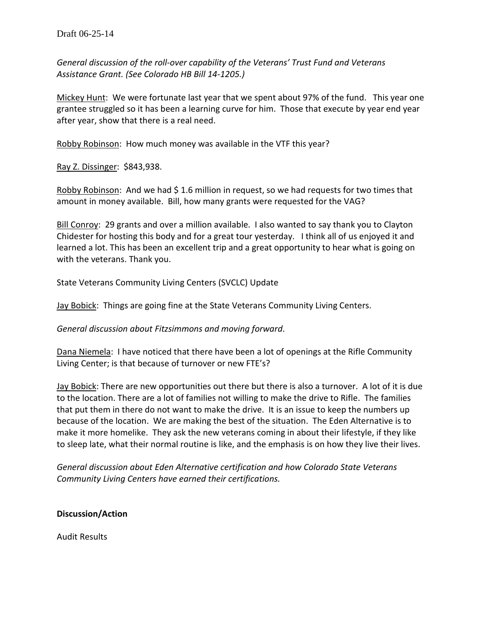*General discussion of the roll-over capability of the Veterans' Trust Fund and Veterans Assistance Grant. (See Colorado HB Bill 14-1205.)*

Mickey Hunt: We were fortunate last year that we spent about 97% of the fund. This year one grantee struggled so it has been a learning curve for him. Those that execute by year end year after year, show that there is a real need.

Robby Robinson: How much money was available in the VTF this year?

Ray Z. Dissinger: \$843,938.

Robby Robinson: And we had \$ 1.6 million in request, so we had requests for two times that amount in money available. Bill, how many grants were requested for the VAG?

Bill Conroy: 29 grants and over a million available. I also wanted to say thank you to Clayton Chidester for hosting this body and for a great tour yesterday. I think all of us enjoyed it and learned a lot. This has been an excellent trip and a great opportunity to hear what is going on with the veterans. Thank you.

State Veterans Community Living Centers (SVCLC) Update

Jay Bobick: Things are going fine at the State Veterans Community Living Centers.

*General discussion about Fitzsimmons and moving forward*.

Dana Niemela: I have noticed that there have been a lot of openings at the Rifle Community Living Center; is that because of turnover or new FTE's?

Jay Bobick: There are new opportunities out there but there is also a turnover. A lot of it is due to the location. There are a lot of families not willing to make the drive to Rifle. The families that put them in there do not want to make the drive. It is an issue to keep the numbers up because of the location. We are making the best of the situation. The Eden Alternative is to make it more homelike. They ask the new veterans coming in about their lifestyle, if they like to sleep late, what their normal routine is like, and the emphasis is on how they live their lives.

*General discussion about Eden Alternative certification and how Colorado State Veterans Community Living Centers have earned their certifications.*

**Discussion/Action**

Audit Results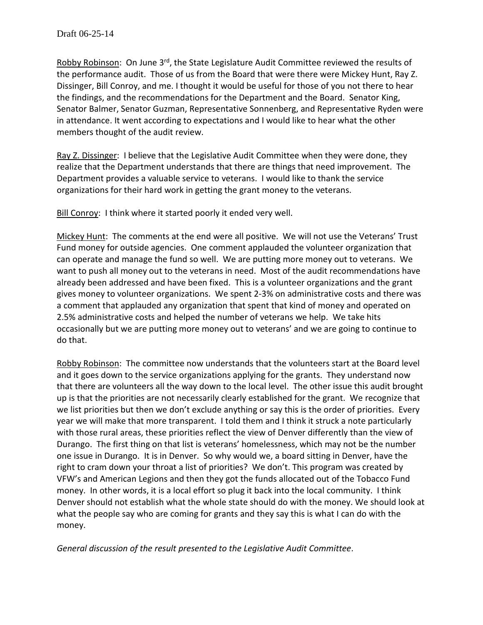Robby Robinson: On June 3<sup>rd</sup>, the State Legislature Audit Committee reviewed the results of the performance audit. Those of us from the Board that were there were Mickey Hunt, Ray Z. Dissinger, Bill Conroy, and me. I thought it would be useful for those of you not there to hear the findings, and the recommendations for the Department and the Board. Senator King, Senator Balmer, Senator Guzman, Representative Sonnenberg, and Representative Ryden were in attendance. It went according to expectations and I would like to hear what the other members thought of the audit review.

Ray Z. Dissinger: I believe that the Legislative Audit Committee when they were done, they realize that the Department understands that there are things that need improvement. The Department provides a valuable service to veterans. I would like to thank the service organizations for their hard work in getting the grant money to the veterans.

Bill Conroy: I think where it started poorly it ended very well.

Mickey Hunt: The comments at the end were all positive. We will not use the Veterans' Trust Fund money for outside agencies. One comment applauded the volunteer organization that can operate and manage the fund so well. We are putting more money out to veterans. We want to push all money out to the veterans in need. Most of the audit recommendations have already been addressed and have been fixed. This is a volunteer organizations and the grant gives money to volunteer organizations. We spent 2-3% on administrative costs and there was a comment that applauded any organization that spent that kind of money and operated on 2.5% administrative costs and helped the number of veterans we help. We take hits occasionally but we are putting more money out to veterans' and we are going to continue to do that.

Robby Robinson: The committee now understands that the volunteers start at the Board level and it goes down to the service organizations applying for the grants. They understand now that there are volunteers all the way down to the local level. The other issue this audit brought up is that the priorities are not necessarily clearly established for the grant. We recognize that we list priorities but then we don't exclude anything or say this is the order of priorities. Every year we will make that more transparent. I told them and I think it struck a note particularly with those rural areas, these priorities reflect the view of Denver differently than the view of Durango. The first thing on that list is veterans' homelessness, which may not be the number one issue in Durango. It is in Denver. So why would we, a board sitting in Denver, have the right to cram down your throat a list of priorities? We don't. This program was created by VFW's and American Legions and then they got the funds allocated out of the Tobacco Fund money. In other words, it is a local effort so plug it back into the local community. I think Denver should not establish what the whole state should do with the money. We should look at what the people say who are coming for grants and they say this is what I can do with the money.

*General discussion of the result presented to the Legislative Audit Committee*.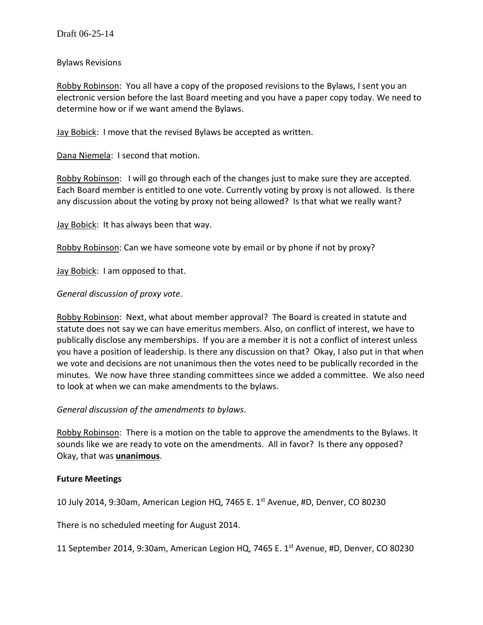Bylaws Revisions

Robby Robinson: You all have a copy of the proposed revisions to the Bylaws, I sent you an electronic version before the last Board meeting and you have a paper copy today. We need to determine how or if we want amend the Bylaws.

Jay Bobick: I move that the revised Bylaws be accepted as written.

Dana Niemela: I second that motion.

Robby Robinson: I will go through each of the changes just to make sure they are accepted. Each Board member is entitled to one vote. Currently voting by proxy is not allowed. Is there any discussion about the voting by proxy not being allowed? Is that what we really want?

Jay Bobick: It has always been that way.

Robby Robinson: Can we have someone vote by email or by phone if not by proxy?

Jay Bobick: I am opposed to that.

## *General discussion of proxy vote*.

Robby Robinson: Next, what about member approval? The Board is created in statute and statute does not say we can have emeritus members. Also, on conflict of interest, we have to publically disclose any memberships. If you are a member it is not a conflict of interest unless you have a position of leadership. Is there any discussion on that? Okay, I also put in that when we vote and decisions are not unanimous then the votes need to be publically recorded in the minutes. We now have three standing committees since we added a committee. We also need to look at when we can make amendments to the bylaws.

*General discussion of the amendments to bylaws*.

Robby Robinson: There is a motion on the table to approve the amendments to the Bylaws. It sounds like we are ready to vote on the amendments. All in favor? Is there any opposed? Okay, that was **unanimous**.

### **Future Meetings**

10 July 2014, 9:30am, American Legion HQ, 7465 E.  $1<sup>st</sup>$  Avenue, #D, Denver, CO 80230

There is no scheduled meeting for August 2014.

11 September 2014, 9:30am, American Legion HQ, 7465 E. 1<sup>st</sup> Avenue, #D, Denver, CO 80230